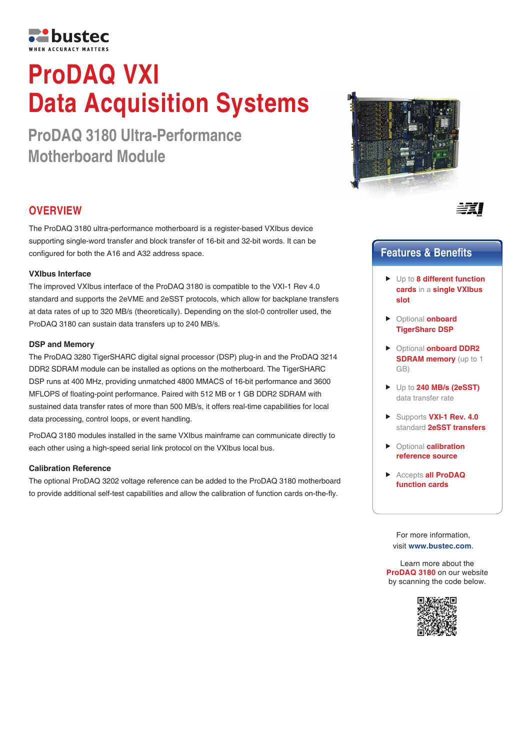

# **ProDAQ VXI Data Acquisition Systems**

**ProDAQ 3180 Ultra-Performance Motherboard Module**



The ProDAQ 3180 ultra-performance motherboard is a register-based VXIbus device supporting single-word transfer and block transfer of 16-bit and 32-bit words. It can be configured for both the A16 and A32 address space.

### **VXIbus Interface**

The improved VXIbus interface of the ProDAQ 3180 is compatible to the VXI-1 Rev 4.0 standard and supports the 2eVME and 2eSST protocols, which allow for backplane transfers at data rates of up to 320 MB/s (theoretically). Depending on the slot-0 controller used, the ProDAQ 3180 can sustain data transfers up to 240 MB/s.

#### **DSP and Memory**

The ProDAQ 3280 TigerSHARC digital signal processor (DSP) plug-in and the ProDAQ 3214 DDR2 SDRAM module can be installed as options on the motherboard. The TigerSHARC DSP runs at 400 MHz, providing unmatched 4800 MMACS of 16-bit performance and 3600 MFLOPS of floating-point performance. Paired with 512 MB or 1 GB DDR2 SDRAM with sustained data transfer rates of more than 500 MB/s, it offers real-time capabilities for local data processing, control loops, or event handling.

ProDAQ 3180 modules installed in the same VXIbus mainframe can communicate directly to each other using a high-speed serial link protocol on the VXIbus local bus.

#### **Calibration Reference**

The optional ProDAQ 3202 voltage reference can be added to the ProDAQ 3180 motherboard to provide additional self-test capabilities and allow the calibration of function cards on-the-fly.





## **Features & Benefits**

- Up to **8 different function cards** in a **single VXIbus slot**
- Optional **onboard TigerSharc DSP**
- Optional **onboard DDR2 SDRAM memory** (up to 1 GB)
- Up to **240 MB/s (2eSST)**  data transfer rate
- ▶ Supports **VXI-1 Rev. 4.0** standard **2eSST transfers**
- Optional **calibration reference source**
- Accepts **all ProDAQ function cards**

For more information, visit **www.bustec.com**.

Learn more about the **ProDAQ 3180** on our website by scanning the code below.